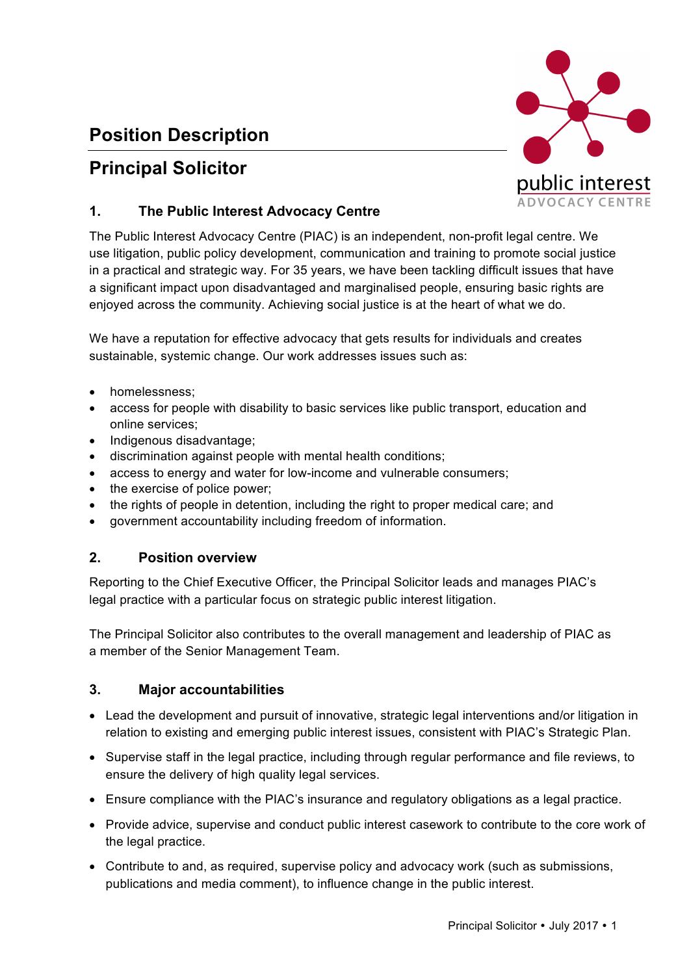# **Position Description**

# **Principal Solicitor**



## **1. The Public Interest Advocacy Centre**

The Public Interest Advocacy Centre (PIAC) is an independent, non-profit legal centre. We use litigation, public policy development, communication and training to promote social justice in a practical and strategic way. For 35 years, we have been tackling difficult issues that have a significant impact upon disadvantaged and marginalised people, ensuring basic rights are enjoyed across the community. Achieving social justice is at the heart of what we do.

We have a reputation for effective advocacy that gets results for individuals and creates sustainable, systemic change. Our work addresses issues such as:

- homelessness;
- access for people with disability to basic services like public transport, education and online services;
- Indigenous disadvantage;
- discrimination against people with mental health conditions;
- access to energy and water for low-income and vulnerable consumers;
- the exercise of police power;
- the rights of people in detention, including the right to proper medical care; and
- government accountability including freedom of information.

### **2. Position overview**

Reporting to the Chief Executive Officer, the Principal Solicitor leads and manages PIAC's legal practice with a particular focus on strategic public interest litigation.

The Principal Solicitor also contributes to the overall management and leadership of PIAC as a member of the Senior Management Team.

### **3. Major accountabilities**

- Lead the development and pursuit of innovative, strategic legal interventions and/or litigation in relation to existing and emerging public interest issues, consistent with PIAC's Strategic Plan.
- Supervise staff in the legal practice, including through regular performance and file reviews, to ensure the delivery of high quality legal services.
- Ensure compliance with the PIAC's insurance and regulatory obligations as a legal practice.
- Provide advice, supervise and conduct public interest casework to contribute to the core work of the legal practice.
- Contribute to and, as required, supervise policy and advocacy work (such as submissions, publications and media comment), to influence change in the public interest.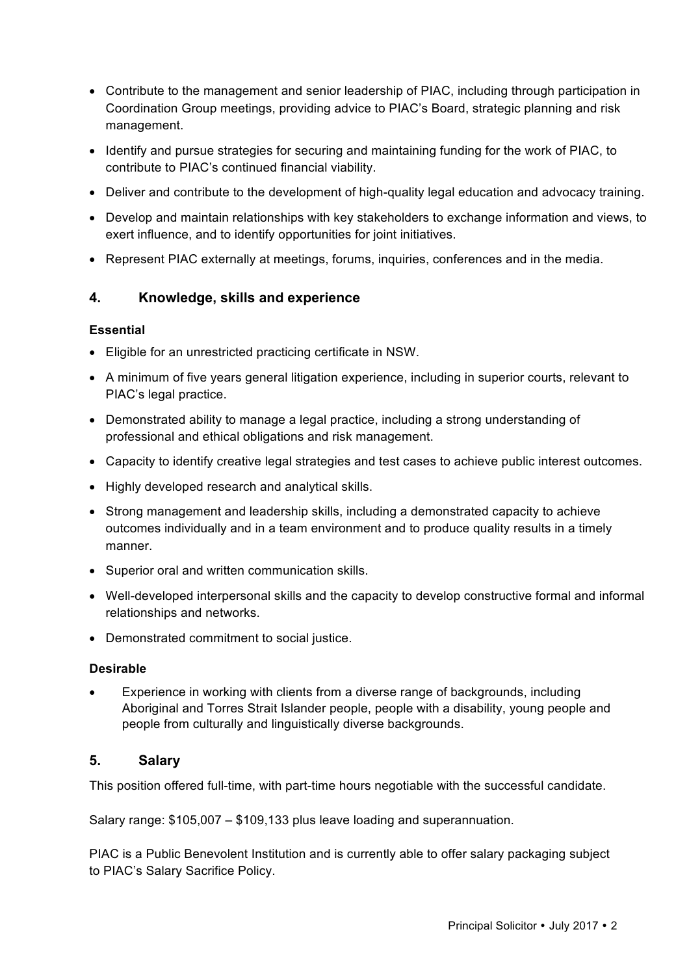- Contribute to the management and senior leadership of PIAC, including through participation in Coordination Group meetings, providing advice to PIAC's Board, strategic planning and risk management.
- Identify and pursue strategies for securing and maintaining funding for the work of PIAC, to contribute to PIAC's continued financial viability.
- Deliver and contribute to the development of high-quality legal education and advocacy training.
- Develop and maintain relationships with key stakeholders to exchange information and views, to exert influence, and to identify opportunities for joint initiatives.
- Represent PIAC externally at meetings, forums, inquiries, conferences and in the media.

### **4. Knowledge, skills and experience**

#### **Essential**

- Eligible for an unrestricted practicing certificate in NSW.
- A minimum of five years general litigation experience, including in superior courts, relevant to PIAC's legal practice.
- Demonstrated ability to manage a legal practice, including a strong understanding of professional and ethical obligations and risk management.
- Capacity to identify creative legal strategies and test cases to achieve public interest outcomes.
- Highly developed research and analytical skills.
- Strong management and leadership skills, including a demonstrated capacity to achieve outcomes individually and in a team environment and to produce quality results in a timely manner.
- Superior oral and written communication skills.
- Well-developed interpersonal skills and the capacity to develop constructive formal and informal relationships and networks.
- Demonstrated commitment to social justice.

#### **Desirable**

• Experience in working with clients from a diverse range of backgrounds, including Aboriginal and Torres Strait Islander people, people with a disability, young people and people from culturally and linguistically diverse backgrounds.

### **5. Salary**

This position offered full-time, with part-time hours negotiable with the successful candidate.

Salary range: \$105,007 – \$109,133 plus leave loading and superannuation.

PIAC is a Public Benevolent Institution and is currently able to offer salary packaging subject to PIAC's Salary Sacrifice Policy.